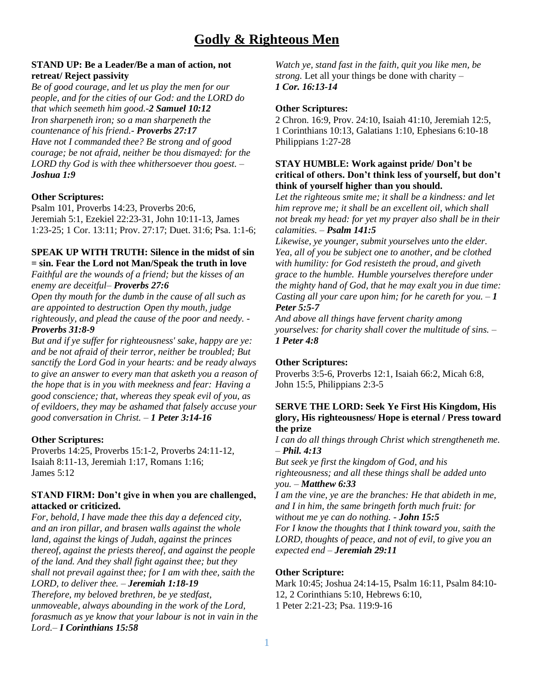# **STAND UP: Be a Leader/Be a man of action, not retreat/ Reject passivity**

*Be of good courage, and let us play the men for our people, and for the cities of our God: and the LORD do that which seemeth him good.*-*2 Samuel 10:12 Iron sharpeneth iron; so a man sharpeneth the countenance of his friend.*- *Proverbs 27:17 Have not I commanded thee? Be strong and of good courage; be not afraid, neither be thou dismayed: for the LORD thy God is with thee whithersoever thou goest. – Joshua 1:9*

## **Other Scriptures:**

Psalm 101, Proverbs 14:23, Proverbs 20:6, Jeremiah 5:1, Ezekiel 22:23-31, John 10:11-13, James 1:23-25; 1 Cor. 13:11; Prov. 27:17; Duet. 31:6; Psa. 1:1-6;

# **SPEAK UP WITH TRUTH: Silence in the midst of sin = sin. Fear the Lord not Man/Speak the truth in love**

*Faithful are the wounds of a friend; but the kisses of an enemy are deceitful*– *Proverbs 27:6*

*Open thy mouth for the dumb in the cause of all such as are appointed to destruction Open thy mouth, judge righteously, and plead the cause of the poor and needy. - Proverbs 31:8-9*

*But and if ye suffer for righteousness' sake, happy are ye: and be not afraid of their terror, neither be troubled; But sanctify the Lord God in your hearts: and be ready always to give an answer to every man that asketh you a reason of the hope that is in you with meekness and fear: Having a good conscience; that, whereas they speak evil of you, as of evildoers, they may be ashamed that falsely accuse your good conversation in Christ.* – *1 Peter 3:14-16*

# **Other Scriptures:**

Proverbs 14:25, Proverbs 15:1-2, Proverbs 24:11-12, Isaiah 8:11-13, Jeremiah 1:17, Romans 1:16; James 5:12

## **STAND FIRM: Don't give in when you are challenged, attacked or criticized.**

*For, behold, I have made thee this day a defenced city, and an iron pillar, and brasen walls against the whole land, against the kings of Judah, against the princes thereof, against the priests thereof, and against the people of the land. And they shall fight against thee; but they shall not prevail against thee; for I am with thee, saith the LORD, to deliver thee. – Jeremiah 1:18-19 Therefore, my beloved brethren, be ye stedfast,* 

*unmoveable, always abounding in the work of the Lord, forasmuch as ye know that your labour is not in vain in the Lord.– I Corinthians 15:58*

*Watch ye, stand fast in the faith, quit you like men, be strong.* Let all your things be done with charity – *1 Cor. 16:13-14*

# **Other Scriptures:**

2 Chron. 16:9, Prov. 24:10, Isaiah 41:10, Jeremiah 12:5, 1 Corinthians 10:13, Galatians 1:10, [Ephesians 6:10-18](https://www.biblegateway.com/passage/?search=Ephesians+6%3A10-18&version=ESV) Philippians 1:27-28

#### **STAY HUMBLE: Work against pride/ Don't be critical of others. Don't think less of yourself, but don't think of yourself higher than you should.**

*Let the righteous smite me; it shall be a kindness: and let him reprove me; it shall be an excellent oil, which shall not break my head: for yet my prayer also shall be in their calamities.* – *Psalm 141:5*

*Likewise, ye younger, submit yourselves unto the elder. Yea, all of you be subject one to another, and be clothed with humility: for God resisteth the proud, and giveth grace to the humble. Humble yourselves therefore under the mighty hand of God, that he may exalt you in due time: Casting all your care upon him; for he careth for you.* – *1 Peter 5:5-7*

*And above all things have fervent charity among yourselves: for charity shall cover the multitude of sins.* – *1 Peter 4:8*

#### **Other Scriptures:**

Proverbs 3:5-6, Proverbs 12:1, Isaiah 66:2, Micah 6:8, John 15:5, Philippians 2:3-5

### **SERVE THE LORD: Seek Ye First His Kingdom, His glory, His righteousness/ Hope is eternal / Press toward the prize**

*I can do all things through Christ which strengtheneth me.*  – *Phil. 4:13*

*But seek ye first the kingdom of God, and his righteousness; and all these things shall be added unto you.* – *Matthew 6:33*

*I am the vine, ye are the branches: He that abideth in me, and I in him, the same bringeth forth much fruit: for without me ye can do nothing. - John 15:5*

*For I know the thoughts that I think toward you, saith the LORD, thoughts of peace, and not of evil, to give you an expected end – Jeremiah 29:11*

#### **Other Scripture:**

Mark 10:45; Joshua 24:14-15, Psalm 16:11, Psalm 84:10- 12, 2 Corinthians 5:10, Hebrews 6:10, 1 Peter 2:21-23; Psa. 119:9-16